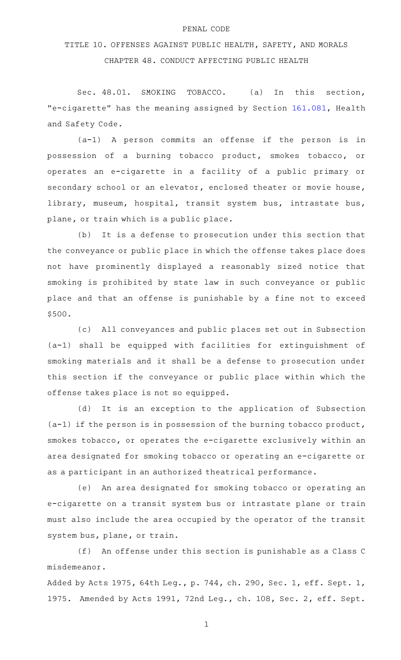## PENAL CODE

## TITLE 10. OFFENSES AGAINST PUBLIC HEALTH, SAFETY, AND MORALS CHAPTER 48. CONDUCT AFFECTING PUBLIC HEALTH

Sec. 48.01. SMOKING TOBACCO. (a) In this section, "e-cigarette" has the meaning assigned by Section [161.081](http://www.statutes.legis.state.tx.us/GetStatute.aspx?Code=HS&Value=161.081), Health and Safety Code.

(a-1) A person commits an offense if the person is in possession of a burning tobacco product, smokes tobacco, or operates an e-cigarette in a facility of a public primary or secondary school or an elevator, enclosed theater or movie house, library, museum, hospital, transit system bus, intrastate bus, plane, or train which is a public place.

(b) It is a defense to prosecution under this section that the conveyance or public place in which the offense takes place does not have prominently displayed a reasonably sized notice that smoking is prohibited by state law in such conveyance or public place and that an offense is punishable by a fine not to exceed \$500.

(c) All conveyances and public places set out in Subsection (a-1) shall be equipped with facilities for extinguishment of smoking materials and it shall be a defense to prosecution under this section if the conveyance or public place within which the offense takes place is not so equipped.

(d) It is an exception to the application of Subsection (a-1) if the person is in possession of the burning tobacco product, smokes tobacco, or operates the e-cigarette exclusively within an area designated for smoking tobacco or operating an e-cigarette or as a participant in an authorized theatrical performance.

(e) An area designated for smoking tobacco or operating an e-cigarette on a transit system bus or intrastate plane or train must also include the area occupied by the operator of the transit system bus, plane, or train.

(f) An offense under this section is punishable as a Class C misdemeanor.

Added by Acts 1975, 64th Leg., p. 744, ch. 290, Sec. 1, eff. Sept. 1, 1975. Amended by Acts 1991, 72nd Leg., ch. 108, Sec. 2, eff. Sept.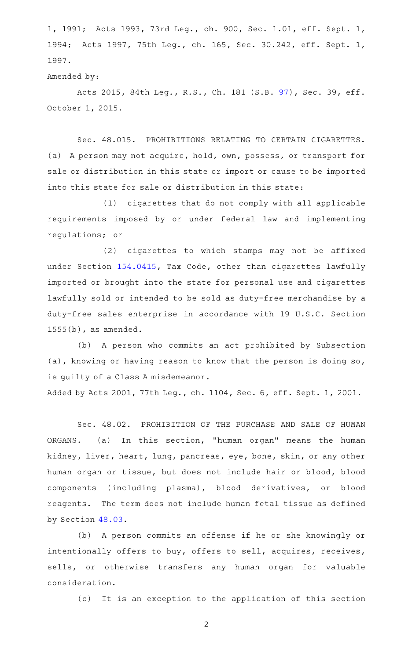1, 1991; Acts 1993, 73rd Leg., ch. 900, Sec. 1.01, eff. Sept. 1, 1994; Acts 1997, 75th Leg., ch. 165, Sec. 30.242, eff. Sept. 1, 1997.

## Amended by:

Acts 2015, 84th Leg., R.S., Ch. 181 (S.B. [97\)](http://www.legis.state.tx.us/tlodocs/84R/billtext/html/SB00097F.HTM), Sec. 39, eff. October 1, 2015.

Sec. 48.015. PROHIBITIONS RELATING TO CERTAIN CIGARETTES. (a) A person may not acquire, hold, own, possess, or transport for sale or distribution in this state or import or cause to be imported into this state for sale or distribution in this state:

(1) cigarettes that do not comply with all applicable requirements imposed by or under federal law and implementing regulations; or

(2) cigarettes to which stamps may not be affixed under Section [154.0415,](http://www.statutes.legis.state.tx.us/GetStatute.aspx?Code=TX&Value=154.0415) Tax Code, other than cigarettes lawfully imported or brought into the state for personal use and cigarettes lawfully sold or intended to be sold as duty-free merchandise by a duty-free sales enterprise in accordance with 19 U.S.C. Section 1555(b), as amended.

(b) A person who commits an act prohibited by Subsection (a), knowing or having reason to know that the person is doing so, is guilty of a Class A misdemeanor.

Added by Acts 2001, 77th Leg., ch. 1104, Sec. 6, eff. Sept. 1, 2001.

Sec. 48.02. PROHIBITION OF THE PURCHASE AND SALE OF HUMAN ORGANS. (a) In this section, "human organ" means the human kidney, liver, heart, lung, pancreas, eye, bone, skin, or any other human organ or tissue, but does not include hair or blood, blood components (including plasma), blood derivatives, or blood reagents. The term does not include human fetal tissue as defined by Section [48.03.](http://www.statutes.legis.state.tx.us/GetStatute.aspx?Code=PE&Value=48.03)

(b) A person commits an offense if he or she knowingly or intentionally offers to buy, offers to sell, acquires, receives, sells, or otherwise transfers any human organ for valuable consideration.

(c) It is an exception to the application of this section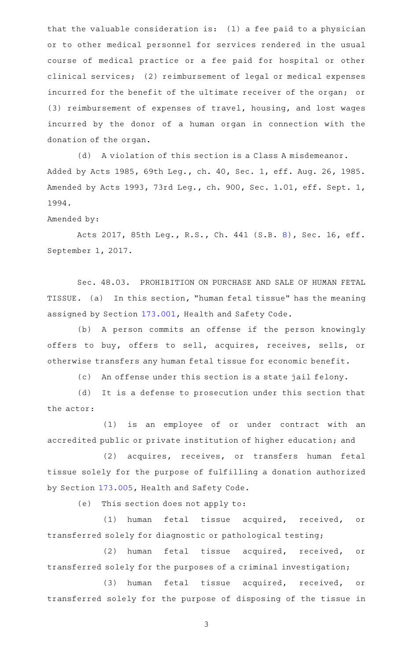that the valuable consideration is: (1) a fee paid to a physician or to other medical personnel for services rendered in the usual course of medical practice or a fee paid for hospital or other clinical services; (2) reimbursement of legal or medical expenses incurred for the benefit of the ultimate receiver of the organ; or (3) reimbursement of expenses of travel, housing, and lost wages incurred by the donor of a human organ in connection with the donation of the organ.

(d) A violation of this section is a Class A misdemeanor. Added by Acts 1985, 69th Leg., ch. 40, Sec. 1, eff. Aug. 26, 1985. Amended by Acts 1993, 73rd Leg., ch. 900, Sec. 1.01, eff. Sept. 1, 1994.

Amended by:

Acts 2017, 85th Leg., R.S., Ch. 441 (S.B. [8\)](http://www.legis.state.tx.us/tlodocs/85R/billtext/html/SB00008F.HTM), Sec. 16, eff. September 1, 2017.

Sec. 48.03. PROHIBITION ON PURCHASE AND SALE OF HUMAN FETAL TISSUE. (a) In this section, "human fetal tissue" has the meaning assigned by Section [173.001](http://www.statutes.legis.state.tx.us/GetStatute.aspx?Code=HS&Value=173.001), Health and Safety Code.

(b) A person commits an offense if the person knowingly offers to buy, offers to sell, acquires, receives, sells, or otherwise transfers any human fetal tissue for economic benefit.

(c) An offense under this section is a state jail felony.

(d) It is a defense to prosecution under this section that the actor:

(1) is an employee of or under contract with an accredited public or private institution of higher education; and

(2) acquires, receives, or transfers human fetal tissue solely for the purpose of fulfilling a donation authorized by Section [173.005,](http://www.statutes.legis.state.tx.us/GetStatute.aspx?Code=HS&Value=173.005) Health and Safety Code.

(e) This section does not apply to:

(1) human fetal tissue acquired, received, or transferred solely for diagnostic or pathological testing;

(2) human fetal tissue acquired, received, or transferred solely for the purposes of a criminal investigation;

(3) human fetal tissue acquired, received, or transferred solely for the purpose of disposing of the tissue in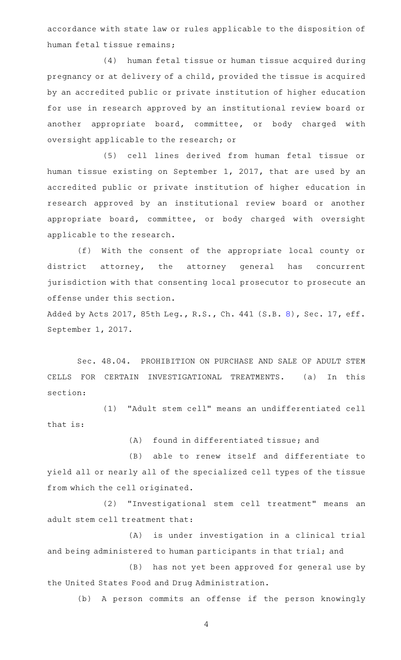accordance with state law or rules applicable to the disposition of human fetal tissue remains;

(4) human fetal tissue or human tissue acquired during pregnancy or at delivery of a child, provided the tissue is acquired by an accredited public or private institution of higher education for use in research approved by an institutional review board or another appropriate board, committee, or body charged with oversight applicable to the research; or

(5) cell lines derived from human fetal tissue or human tissue existing on September 1, 2017, that are used by an accredited public or private institution of higher education in research approved by an institutional review board or another appropriate board, committee, or body charged with oversight applicable to the research.

(f) With the consent of the appropriate local county or district attorney, the attorney general has concurrent jurisdiction with that consenting local prosecutor to prosecute an offense under this section.

Added by Acts 2017, 85th Leg., R.S., Ch. 441 (S.B. [8\)](http://www.legis.state.tx.us/tlodocs/85R/billtext/html/SB00008F.HTM), Sec. 17, eff. September 1, 2017.

Sec. 48.04. PROHIBITION ON PURCHASE AND SALE OF ADULT STEM CELLS FOR CERTAIN INVESTIGATIONAL TREATMENTS. (a) In this section:

(1) "Adult stem cell" means an undifferentiated cell that is:

(A) found in differentiated tissue; and

(B) able to renew itself and differentiate to yield all or nearly all of the specialized cell types of the tissue from which the cell originated.

(2) "Investigational stem cell treatment" means an adult stem cell treatment that:

(A) is under investigation in a clinical trial and being administered to human participants in that trial; and

(B) has not yet been approved for general use by the United States Food and Drug Administration.

(b) A person commits an offense if the person knowingly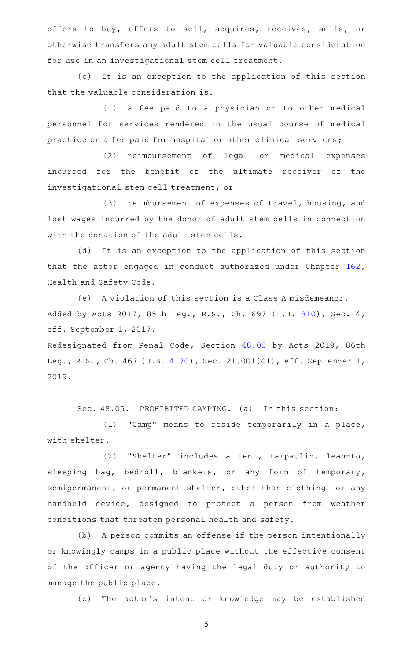offers to buy, offers to sell, acquires, receives, sells, or otherwise transfers any adult stem cells for valuable consideration for use in an investigational stem cell treatment.

(c) It is an exception to the application of this section that the valuable consideration is:

(1) a fee paid to a physician or to other medical personnel for services rendered in the usual course of medical practice or a fee paid for hospital or other clinical services;

(2) reimbursement of legal or medical expenses incurred for the benefit of the ultimate receiver of the investigational stem cell treatment; or

(3) reimbursement of expenses of travel, housing, and lost wages incurred by the donor of adult stem cells in connection with the donation of the adult stem cells.

(d) It is an exception to the application of this section that the actor engaged in conduct authorized under Chapter [162](http://www.statutes.legis.state.tx.us/GetStatute.aspx?Code=HS&Value=162), Health and Safety Code.

(e) A violation of this section is a Class A misdemeanor. Added by Acts 2017, 85th Leg., R.S., Ch. 697 (H.B. [810](http://www.legis.state.tx.us/tlodocs/85R/billtext/html/HB00810F.HTM)), Sec. 4, eff. September 1, 2017.

Redesignated from Penal Code, Section [48.03](http://www.statutes.legis.state.tx.us/GetStatute.aspx?Code=PE&Value=48.03) by Acts 2019, 86th Leg., R.S., Ch. 467 (H.B. [4170\)](http://www.legis.state.tx.us/tlodocs/86R/billtext/html/HB04170F.HTM), Sec. 21.001(41), eff. September 1, 2019.

Sec. 48.05. PROHIBITED CAMPING. (a) In this section:

(1) "Camp" means to reside temporarily in a place, with shelter.

(2) "Shelter" includes a tent, tarpaulin, lean-to, sleeping bag, bedroll, blankets, or any form of temporary, semipermanent, or permanent shelter, other than clothing or any handheld device, designed to protect a person from weather conditions that threaten personal health and safety.

(b) A person commits an offense if the person intentionally or knowingly camps in a public place without the effective consent of the officer or agency having the legal duty or authority to manage the public place.

(c) The actor's intent or knowledge may be established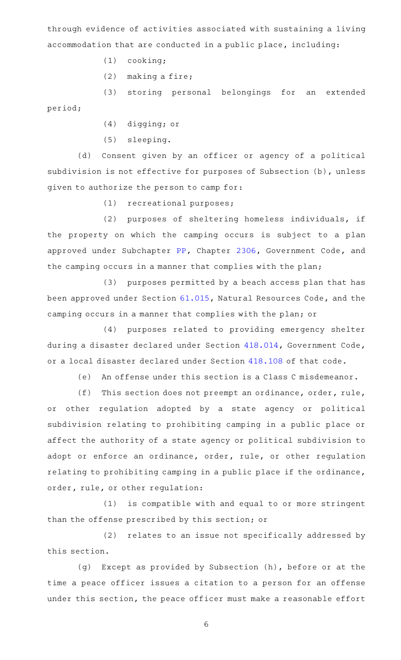through evidence of activities associated with sustaining a living accommodation that are conducted in a public place, including:

- $(1)$  cooking;
- $(2)$  making a fire;

(3) storing personal belongings for an extended period;

- (4) digging; or
- (5) sleeping.

(d) Consent given by an officer or agency of a political subdivision is not effective for purposes of Subsection (b), unless given to authorize the person to camp for:

(1) recreational purposes;

(2) purposes of sheltering homeless individuals, if the property on which the camping occurs is subject to a plan approved under Subchapter [PP](http://www.statutes.legis.state.tx.us/GetStatute.aspx?Code=GV&Value=2306.1121), Chapter [2306,](http://www.statutes.legis.state.tx.us/GetStatute.aspx?Code=GV&Value=2306) Government Code, and the camping occurs in a manner that complies with the plan;

(3) purposes permitted by a beach access plan that has been approved under Section [61.015,](http://www.statutes.legis.state.tx.us/GetStatute.aspx?Code=NR&Value=61.015) Natural Resources Code, and the camping occurs in a manner that complies with the plan; or

(4) purposes related to providing emergency shelter during a disaster declared under Section [418.014](http://www.statutes.legis.state.tx.us/GetStatute.aspx?Code=GV&Value=418.014), Government Code, or a local disaster declared under Section [418.108](http://www.statutes.legis.state.tx.us/GetStatute.aspx?Code=GV&Value=418.108&Date=9/9/2021) of that code.

(e) An offense under this section is a Class C misdemeanor.

(f) This section does not preempt an ordinance, order, rule, or other regulation adopted by a state agency or political subdivision relating to prohibiting camping in a public place or affect the authority of a state agency or political subdivision to adopt or enforce an ordinance, order, rule, or other regulation relating to prohibiting camping in a public place if the ordinance, order, rule, or other regulation:

(1) is compatible with and equal to or more stringent than the offense prescribed by this section; or

(2) relates to an issue not specifically addressed by this section.

(g) Except as provided by Subsection (h), before or at the time a peace officer issues a citation to a person for an offense under this section, the peace officer must make a reasonable effort